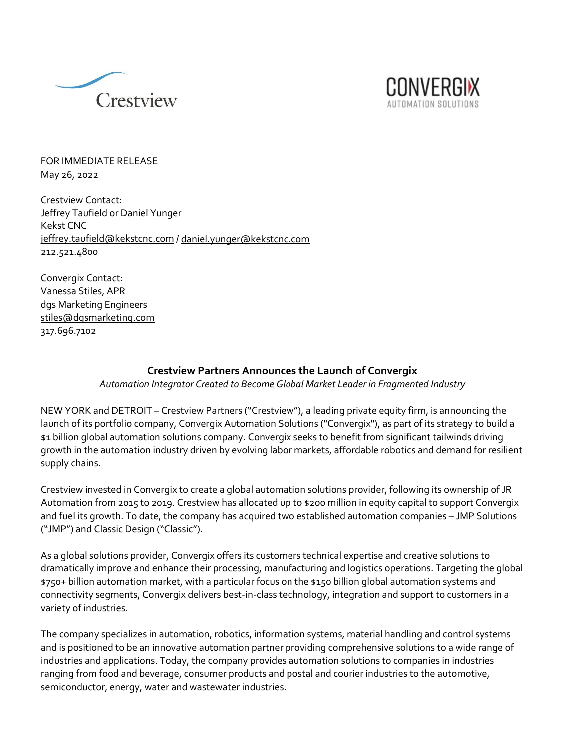



FOR IMMEDIATE RELEASE May 26, 2022

Crestview Contact: Jeffrey Taufield or Daniel Yunger Kekst CNC [jeffrey.taufield@kekstcnc.com](mailto:jeffrey.taufield@kekstcnc.com) [/ daniel.yunger@kekstcnc.com](mailto:daniel.yunger@kekstcnc.com) 212.521.4800

Convergix Contact: Vanessa Stiles, APR dgs Marketing Engineers [stiles@dgsmarketing.com](http://stiles@dgsmarketing.com) 317.696.7102

## **Crestview Partners Announces the Launch of Convergix**

*Automation Integrator Created to Become Global Market Leader in Fragmented Industry*

NEW YORK and DETROIT – Crestview Partners ("Crestview"), a leading private equity firm, is announcing the launch of its portfolio company, Convergix Automation Solutions ("Convergix"), as part of its strategy to build a \$1 billion global automation solutions company. Convergix seeks to benefit from significant tailwinds driving growth in the automation industry driven by evolving labor markets, affordable robotics and demand for resilient supply chains.

Crestview invested in Convergix to create a global automation solutions provider, following its ownership of JR Automation from 2015 to 2019. Crestview has allocated up to \$200 million in equity capital to support Convergix and fuel its growth. To date, the company has acquired two established automation companies – JMP Solutions ("JMP") and Classic Design ("Classic").

As a global solutions provider, Convergix offers its customers technical expertise and creative solutions to dramatically improve and enhance their processing, manufacturing and logistics operations. Targeting the global \$750+ billion automation market, with a particular focus on the \$150 billion global automation systems and connectivity segments, Convergix delivers best-in-class technology, integration and support to customers in a variety of industries.

The company specializes in automation, robotics, information systems, material handling and control systems and is positioned to be an innovative automation partner providing comprehensive solutions to a wide range of industries and applications. Today, the company provides automation solutions to companies in industries ranging from food and beverage, consumer products and postal and courier industries to the automotive, semiconductor, energy, water and wastewater industries.